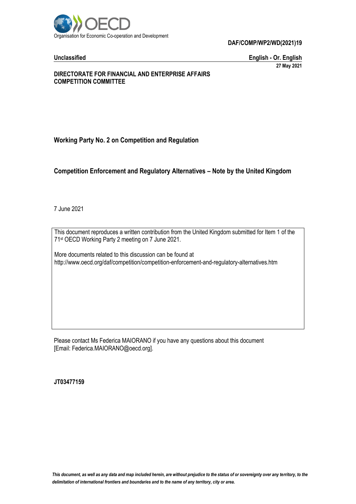

**Unclassified English - Or. English 27 May 2021**

### **DIRECTORATE FOR FINANCIAL AND ENTERPRISE AFFAIRS COMPETITION COMMITTEE**

# **Working Party No. 2 on Competition and Regulation**

# **Competition Enforcement and Regulatory Alternatives – Note by the United Kingdom**

7 June 2021

This document reproduces a written contribution from the United Kingdom submitted for Item 1 of the 71 st OECD Working Party 2 meeting on 7 June 2021.

More documents related to this discussion can be found at http://www.oecd.org/daf/competition/competition-enforcement-and-regulatory-alternatives.htm

Please contact Ms Federica MAIORANO if you have any questions about this document [Email: Federica.MAIORANO@oecd.org].

**JT03477159**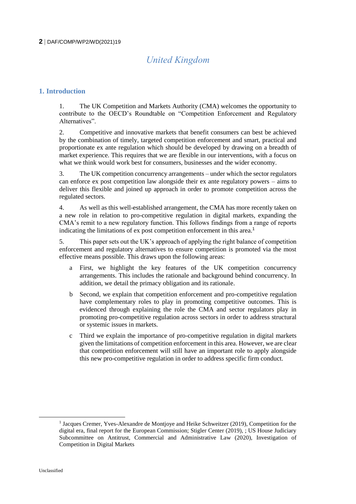# *United Kingdom*

# **1. Introduction**

1. The UK Competition and Markets Authority (CMA) welcomes the opportunity to contribute to the OECD's Roundtable on "Competition Enforcement and Regulatory Alternatives".

2. Competitive and innovative markets that benefit consumers can best be achieved by the combination of timely, targeted competition enforcement and smart, practical and proportionate ex ante regulation which should be developed by drawing on a breadth of market experience. This requires that we are flexible in our interventions, with a focus on what we think would work best for consumers, businesses and the wider economy.

3. The UK competition concurrency arrangements – under which the sector regulators can enforce ex post competition law alongside their ex ante regulatory powers – aims to deliver this flexible and joined up approach in order to promote competition across the regulated sectors.

4. As well as this well-established arrangement, the CMA has more recently taken on a new role in relation to pro-competitive regulation in digital markets, expanding the CMA's remit to a new regulatory function. This follows findings from a range of reports indicating the limitations of ex post competition enforcement in this area.<sup>1</sup>

5. This paper sets out the UK's approach of applying the right balance of competition enforcement and regulatory alternatives to ensure competition is promoted via the most effective means possible. This draws upon the following areas:

- a First, we highlight the key features of the UK competition concurrency arrangements. This includes the rationale and background behind concurrency. In addition, we detail the primacy obligation and its rationale.
- b Second, we explain that competition enforcement and pro-competitive regulation have complementary roles to play in promoting competitive outcomes. This is evidenced through explaining the role the CMA and sector regulators play in promoting pro-competitive regulation across sectors in order to address structural or systemic issues in markets.
- c Third we explain the importance of pro-competitive regulation in digital markets given the limitations of competition enforcement in this area. However, we are clear that competition enforcement will still have an important role to apply alongside this new pro-competitive regulation in order to address specific firm conduct.

<sup>&</sup>lt;sup>1</sup> Jacques Cremer, Yves-Alexandre de Montjoye and Heike Schweitzer (2019), Competition for the digital era, final report for the European Commission; Stigler Center (2019), ; US House Judiciary Subcommittee on Antitrust, Commercial and Administrative Law (2020), Investigation of Competition in Digital Markets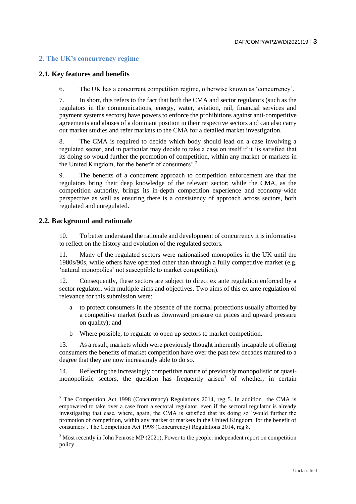# **2. The UK's concurrency regime**

# **2.1. Key features and benefits**

6. The UK has a concurrent competition regime, otherwise known as 'concurrency'.

7. In short, this refers to the fact that both the CMA and sector regulators (such as the regulators in the communications, energy, water, aviation, rail, financial services and payment systems sectors) have powers to enforce the prohibitions against anti-competitive agreements and abuses of a dominant position in their respective sectors and can also carry out market studies and refer markets to the CMA for a detailed market investigation.

8. The CMA is required to decide which body should lead on a case involving a regulated sector, and in particular may decide to take a case on itself if it 'is satisfied that its doing so would further the promotion of competition, within any market or markets in the United Kingdom, for the benefit of consumers'.<sup>2</sup>

9. The benefits of a concurrent approach to competition enforcement are that the regulators bring their deep knowledge of the relevant sector; while the CMA, as the competition authority, brings its in-depth competition experience and economy-wide perspective as well as ensuring there is a consistency of approach across sectors, both regulated and unregulated.

# **2.2. Background and rationale**

10. To better understand the rationale and development of concurrency it is informative to reflect on the history and evolution of the regulated sectors.

11. Many of the regulated sectors were nationalised monopolies in the UK until the 1980s/90s, while others have operated other than through a fully competitive market (e.g. 'natural monopolies' not susceptible to market competition).

12. Consequently, these sectors are subject to direct ex ante regulation enforced by a sector regulator, with multiple aims and objectives. Two aims of this ex ante regulation of relevance for this submission were:

- a to protect consumers in the absence of the normal protections usually afforded by a competitive market (such as downward pressure on prices and upward pressure on quality); and
- b Where possible, to regulate to open up sectors to market competition.

13. As a result, markets which were previously thought inherently incapable of offering consumers the benefits of market competition have over the past few decades matured to a degree that they are now increasingly able to do so.

14. Reflecting the increasingly competitive nature of previously monopolistic or quasimonopolistic sectors, the question has frequently arisen<sup>3</sup> of whether, in certain

<sup>&</sup>lt;sup>2</sup> The Competition Act 1998 (Concurrency) Regulations 2014, reg 5. In addition the CMA is empowered to take over a case from a sectoral regulator, even if the sectoral regulator is already investigating that case, where, again, the CMA is satisfied that its doing so 'would further the promotion of competition, within any market or markets in the United Kingdom, for the benefit of consumers'. The Competition Act 1998 (Concurrency) Regulations 2014, reg 8.

<sup>3</sup> Most recently in John Penrose MP (2021), Power to the people: independent report on competition policy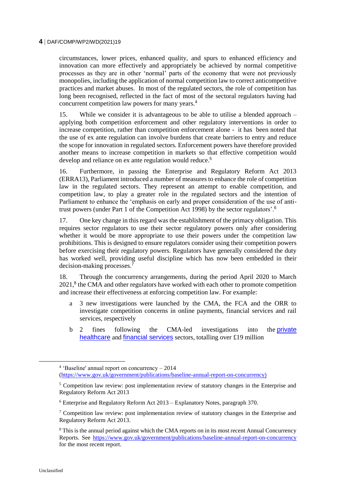circumstances, lower prices, enhanced quality, and spurs to enhanced efficiency and innovation can more effectively and appropriately be achieved by normal competitive processes as they are in other 'normal' parts of the economy that were not previously monopolies, including the application of normal competition law to correct anticompetitive practices and market abuses. In most of the regulated sectors, the role of competition has long been recognised, reflected in the fact of most of the sectoral regulators having had concurrent competition law powers for many years.<sup>4</sup>

15. While we consider it is advantageous to be able to utilise a blended approach – applying both competition enforcement and other regulatory interventions in order to increase competition, rather than competition enforcement alone - it has been noted that the use of ex ante regulation can involve burdens that create barriers to entry and reduce the scope for innovation in regulated sectors. Enforcement powers have therefore provided another means to increase competition in markets so that effective competition would develop and reliance on ex ante regulation would reduce.<sup>5</sup>

16. Furthermore, in passing the Enterprise and Regulatory Reform Act 2013 (ERRA13), Parliament introduced a number of measures to enhance the role of competition law in the regulated sectors. They represent an attempt to enable competition, and competition law, to play a greater role in the regulated sectors and the intention of Parliament to enhance the 'emphasis on early and proper consideration of the use of antitrust powers (under Part 1 of the Competition Act 1998) by the sector regulators'.<sup>6</sup>

17. One key change in this regard was the establishment of the primacy obligation. This requires sector regulators to use their sector regulatory powers only after considering whether it would be more appropriate to use their powers under the competition law prohibitions. This is designed to ensure regulators consider using their competition powers before exercising their regulatory powers. Regulators have generally considered the duty has worked well, providing useful discipline which has now been embedded in their decision-making processes. $^7$ 

18. Through the concurrency arrangements, during the period April 2020 to March 2021,<sup>8</sup> the CMA and other regulators have worked with each other to promote competition and increase their effectiveness at enforcing competition law. For example:

- a 3 new investigations were launched by the CMA, the FCA and the ORR to investigate competition concerns in online payments, financial services and rail services, respectively
- b 2 fines following the CMA-led investigations into the **private** [healthcare](https://www.gov.uk/cma-cases/privately-funded-healthcare-services) and [financial services](https://www.gov.uk/cma-cases/price-comparison-website-use-of-most-favoured-nation-clauses) sectors, totalling over £19 million

<sup>4</sup> 'Baseline' annual report on concurrency – 2014

[<sup>\(</sup>https://www.gov.uk/government/publications/baseline-annual-report-on-concurrency\)](https://www.gov.uk/government/publications/baseline-annual-report-on-concurrency)

<sup>&</sup>lt;sup>5</sup> Competition law review: post implementation review of statutory changes in the Enterprise and Regulatory Reform Act 2013

<sup>6</sup> Enterprise and Regulatory Reform Act 2013 – Explanatory Notes, paragraph 370.

<sup>&</sup>lt;sup>7</sup> Competition law review: post implementation review of statutory changes in the Enterprise and Regulatory Reform Act 2013.

<sup>8</sup> This is the annual period against which the CMA reports on in its most recent Annual Concurrency Reports. See<https://www.gov.uk/government/publications/baseline-annual-report-on-concurrency> for the most recent report.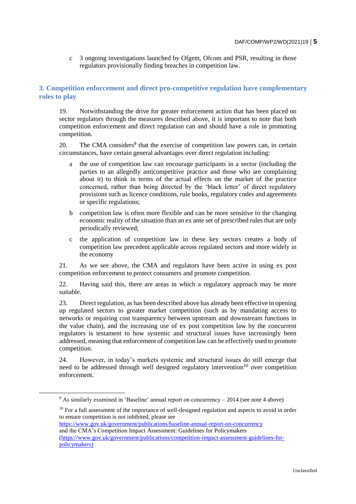c 3 ongoing investigations launched by Ofgem, Ofcom and PSR, resulting in those regulators provisionally finding breaches in competition law.

# **3. Competition enforcement and direct pro-competitive regulation have complementary roles to play**

19. Notwithstanding the drive for greater enforcement action that has been placed on sector regulators through the measures described above, it is important to note that both competition enforcement and direct regulation can and should have a role in promoting competition.

20. The CMA considers<sup>9</sup> that the exercise of competition law powers can, in certain circumstances, have certain general advantages over direct regulation including:

- a the use of competition law can encourage participants in a sector (including the parties to an allegedly anticompetitive practice and those who are complaining about it) to think in terms of the actual effects on the market of the practice concerned, rather than being directed by the 'black letter' of direct regulatory provisions such as licence conditions, rule books, regulatory codes and agreements or specific regulations;
- b competition law is often more flexible and can be more sensitive to the changing economic reality of the situation than an ex ante set of prescribed rules that are only periodically reviewed;
- c the application of competition law in these key sectors creates a body of competition law precedent applicable across regulated sectors and more widely in the economy

21. As we see above, the CMA and regulators have been active in using ex post competition enforcement to protect consumers and promote competition.

22. Having said this, there are areas in which a regulatory approach may be more suitable.

23. Direct regulation, as has been described above has already been effective in opening up regulated sectors to greater market competition (such as by mandating access to networks or requiring cost transparency between upstream and downstream functions in the value chain), and the increasing use of ex post competition law by the concurrent regulators is testament to how systemic and structural issues have increasingly been addressed, meaning that enforcement of competition law can be effectively used to promote competition.

24. However, in today's markets systemic and structural issues do still emerge that need to be addressed through well designed regulatory intervention<sup>10</sup> over competition enforcement.

 $10$  For a full assessment of the importance of well-designed regulation and aspects to avoid in order to ensure competition is not inhibited, please see

<https://www.gov.uk/government/publications/baseline-annual-report-on-concurrency> and the CMA's Competition Impact Assessment: Guidelines for Policymakers [\(https://www.gov.uk/government/publications/competition-impact-assessment-guidelines-for](https://www.gov.uk/government/publications/competition-impact-assessment-guidelines-for-policymakers))[policymakers\)](https://www.gov.uk/government/publications/competition-impact-assessment-guidelines-for-policymakers))

<sup>9</sup> As similarly examined in 'Baseline' annual report on concurrency – 2014 (see note 4 above)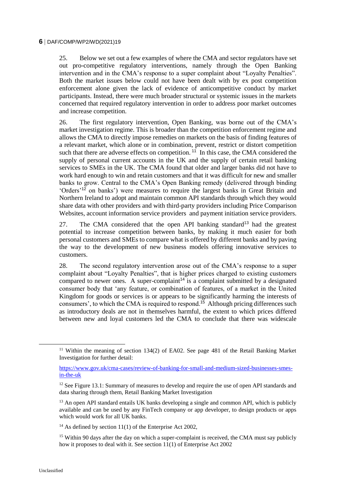25. Below we set out a few examples of where the CMA and sector regulators have set out pro-competitive regulatory interventions, namely through the Open Banking intervention and in the CMA's response to a super complaint about "Loyalty Penalties". Both the market issues below could not have been dealt with by ex post competition enforcement alone given the lack of evidence of anticompetitive conduct by market participants. Instead, there were much broader structural or systemic issues in the markets concerned that required regulatory intervention in order to address poor market outcomes and increase competition.

26. The first regulatory intervention, Open Banking, was borne out of the CMA's market investigation regime. This is broader than the competition enforcement regime and allows the CMA to directly impose remedies on markets on the basis of finding features of a relevant market, which alone or in combination, prevent, restrict or distort competition such that there are adverse effects on competition.<sup>11</sup> In this case, the CMA considered the supply of personal current accounts in the UK and the supply of certain retail banking services to SMEs in the UK. The CMA found that older and larger banks did not have to work hard enough to win and retain customers and that it was difficult for new and smaller banks to grow. Central to the CMA's Open Banking remedy (delivered through binding 'Orders'<sup>12</sup> on banks') were measures to require the largest banks in Great Britain and Northern Ireland to adopt and maintain common API standards through which they would share data with other providers and with third-party providers including Price Comparison Websites, account information service providers and payment initiation service providers.

27. The CMA considered that the open API banking standard<sup>13</sup> had the greatest potential to increase competition between banks, by making it much easier for both personal customers and SMEs to compare what is offered by different banks and by paving the way to the development of new business models offering innovative services to customers.

28. The second regulatory intervention arose out of the CMA's response to a super complaint about "Loyalty Penalties", that is higher prices charged to existing customers compared to newer ones. A super-complaint<sup>14</sup> is a complaint submitted by a designated consumer body that 'any feature, or combination of features, of a market in the United Kingdom for goods or services is or appears to be significantly harming the interests of consumers', to which the CMA is required to respond.<sup>15</sup> Although pricing differences such as introductory deals are not in themselves harmful, the extent to which prices differed between new and loyal customers led the CMA to conclude that there was widescale

 $\overline{a}$ 

<sup>&</sup>lt;sup>11</sup> Within the meaning of section 134(2) of EA02. See page 481 of the Retail Banking Market Investigation for further detail:

[https://www.gov.uk/cma-cases/review-of-banking-for-small-and-medium-sized-businesses-smes](https://www.gov.uk/cma-cases/review-of-banking-for-small-and-medium-sized-businesses-smes-in-the-uk)[in-the-uk](https://www.gov.uk/cma-cases/review-of-banking-for-small-and-medium-sized-businesses-smes-in-the-uk)

<sup>&</sup>lt;sup>12</sup> See Figure 13.1: Summary of measures to develop and require the use of open API standards and data sharing through them, Retail Banking Market Investigation

<sup>&</sup>lt;sup>13</sup> An open API standard entails UK banks developing a single and common API, which is publicly available and can be used by any FinTech company or app developer, to design products or apps which would work for all UK banks.

<sup>&</sup>lt;sup>14</sup> As defined by section  $11(1)$  of the Enterprise Act 2002,

<sup>&</sup>lt;sup>15</sup> Within 90 days after the day on which a super-complaint is received, the CMA must say publicly how it proposes to deal with it. See section  $11(1)$  of Enterprise Act 2002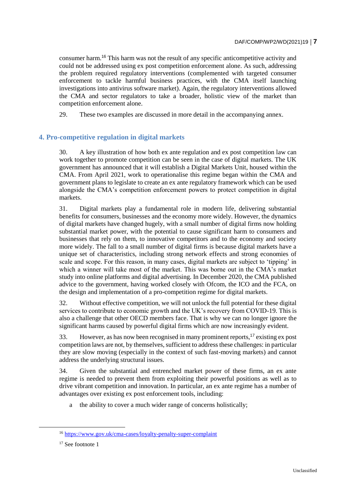consumer harm.<sup>16</sup> This harm was not the result of any specific anticompetitive activity and could not be addressed using ex post competition enforcement alone. As such, addressing the problem required regulatory interventions (complemented with targeted consumer enforcement to tackle harmful business practices, with the CMA itself launching investigations into antivirus software market). Again, the regulatory interventions allowed the CMA and sector regulators to take a broader, holistic view of the market than competition enforcement alone.

29. These two examples are discussed in more detail in the accompanying annex.

# **4. Pro-competitive regulation in digital markets**

30. A key illustration of how both ex ante regulation and ex post competition law can work together to promote competition can be seen in the case of digital markets. The UK government has announced that it will establish a Digital Markets Unit, housed within the CMA. From April 2021, work to operationalise this regime began within the CMA and government plans to legislate to create an ex ante regulatory framework which can be used alongside the CMA's competition enforcement powers to protect competition in digital markets.

31. Digital markets play a fundamental role in modern life, delivering substantial benefits for consumers, businesses and the economy more widely. However, the dynamics of digital markets have changed hugely, with a small number of digital firms now holding substantial market power, with the potential to cause significant harm to consumers and businesses that rely on them, to innovative competitors and to the economy and society more widely. The fall to a small number of digital firms is because digital markets have a unique set of characteristics, including strong network effects and strong economies of scale and scope. For this reason, in many cases, digital markets are subject to 'tipping' in which a winner will take most of the market. This was borne out in the CMA's market study into online platforms and digital advertising. In December 2020, the CMA published advice to the government, having worked closely with Ofcom, the ICO and the FCA, on the design and implementation of a pro-competition regime for digital markets.

32. Without effective competition, we will not unlock the full potential for these digital services to contribute to economic growth and the UK's recovery from COVID-19. This is also a challenge that other OECD members face. That is why we can no longer ignore the significant harms caused by powerful digital firms which are now increasingly evident.

33. However, as has now been recognised in many prominent reports,<sup>17</sup> existing ex post competition laws are not, by themselves, sufficient to address these challenges: in particular they are slow moving (especially in the context of such fast-moving markets) and cannot address the underlying structural issues.

34. Given the substantial and entrenched market power of these firms, an ex ante regime is needed to prevent them from exploiting their powerful positions as well as to drive vibrant competition and innovation. In particular, an ex ante regime has a number of advantages over existing ex post enforcement tools, including:

a the ability to cover a much wider range of concerns holistically;

<sup>16</sup> <https://www.gov.uk/cma-cases/loyalty-penalty-super-complaint>

<sup>&</sup>lt;sup>17</sup> See footnote 1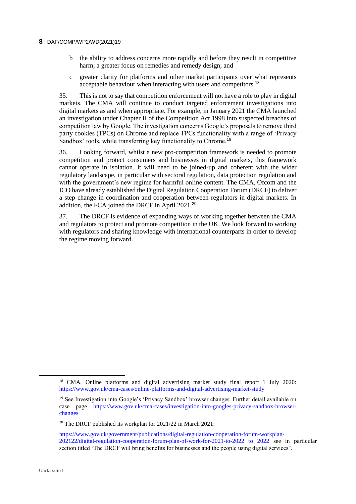- b the ability to address concerns more rapidly and before they result in competitive harm; a greater focus on remedies and remedy design; and
- c greater clarity for platforms and other market participants over what represents acceptable behaviour when interacting with users and competitors.<sup>18</sup>

35. This is not to say that competition enforcement will not have a role to play in digital markets. The CMA will continue to conduct targeted enforcement investigations into digital markets as and when appropriate. For example, in January 2021 the CMA launched an investigation under Chapter II of the Competition Act 1998 into suspected breaches of competition law by Google. The investigation concerns Google's proposals to remove third party cookies (TPCs) on Chrome and replace TPCs functionality with a range of 'Privacy Sandbox' tools, while transferring key functionality to Chrome.<sup>19</sup>

36. Looking forward, whilst a new pro-competition framework is needed to promote competition and protect consumers and businesses in digital markets, this framework cannot operate in isolation. It will need to be joined-up and coherent with the wider regulatory landscape, in particular with sectoral regulation, data protection regulation and with the government's new regime for harmful online content. The CMA, Ofcom and the ICO have already established the Digital Regulation Cooperation Forum (DRCF) to deliver a step change in coordination and cooperation between regulators in digital markets. In addition, the FCA joined the DRCF in April 2021.<sup>20</sup>

37. The DRCF is evidence of expanding ways of working together between the CMA and regulators to protect and promote competition in the UK. We look forward to working with regulators and sharing knowledge with international counterparts in order to develop the regime moving forward.

 $\overline{a}$ 

<sup>&</sup>lt;sup>18</sup> CMA, Online platforms and digital advertising market study final report 1 July 2020: <https://www.gov.uk/cma-cases/online-platforms-and-digital-advertising-market-study>

<sup>&</sup>lt;sup>19</sup> See Investigation into Google's 'Privacy Sandbox' browser changes. Further detail available on case page [https://www.gov.uk/cma-cases/investigation-into-googles-privacy-sandbox-browser](https://www.gov.uk/cma-cases/investigation-into-googles-privacy-sandbox-browser-changes)[changes](https://www.gov.uk/cma-cases/investigation-into-googles-privacy-sandbox-browser-changes)

<sup>20</sup> The DRCF published its workplan for 2021/22 in March 2021:

[https://www.gov.uk/government/publications/digital-regulation-cooperation-forum-workplan-](https://www.gov.uk/government/publications/digital-regulation-cooperation-forum-workplan-202122/digital-regulation-cooperation-forum-plan-of-work-for-2021-to-2022%20to%202022)[202122/digital-regulation-cooperation-forum-plan-of-work-for-2021-to-2022 to 2022](https://www.gov.uk/government/publications/digital-regulation-cooperation-forum-workplan-202122/digital-regulation-cooperation-forum-plan-of-work-for-2021-to-2022%20to%202022) see in particular section titled 'The DRCF will bring benefits for businesses and the people using digital services".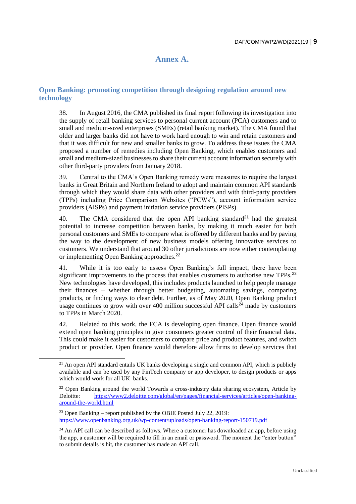# **Annex A.**

# **Open Banking: promoting competition through designing regulation around new technology**

38. In August 2016, the CMA published its final report following its investigation into the supply of retail banking services to personal current account (PCA) customers and to small and medium-sized enterprises (SMEs) (retail banking market). The CMA found that older and larger banks did not have to work hard enough to win and retain customers and that it was difficult for new and smaller banks to grow. To address these issues the CMA proposed a number of remedies including Open Banking, which enables customers and small and medium-sized businesses to share their current account information securely with other third-party providers from January 2018.

39. Central to the CMA's Open Banking remedy were measures to require the largest banks in Great Britain and Northern Ireland to adopt and maintain common API standards through which they would share data with other providers and with third-party providers (TPPs) including Price Comparison Websites ("PCWs"), account information service providers (AISPs) and payment initiation service providers (PISPs).

40. The CMA considered that the open API banking standard<sup>21</sup> had the greatest potential to increase competition between banks, by making it much easier for both personal customers and SMEs to compare what is offered by different banks and by paving the way to the development of new business models offering innovative services to customers. We understand that around 30 other jurisdictions are now either contemplating or implementing Open Banking approaches.<sup>22</sup>

41. While it is too early to assess Open Banking's full impact, there have been significant improvements to the process that enables customers to authorise new TPPs.<sup>23</sup> New technologies have developed, this includes products launched to help people manage their finances – whether through better budgeting, automating savings, comparing products, or finding ways to clear debt. Further, as of May 2020, Open Banking product usage continues to grow with over 400 million successful API calls<sup> $24$ </sup> made by customers to TPPs in March 2020.

42. Related to this work, the FCA is developing open finance. Open finance would extend open banking principles to give consumers greater control of their financial data. This could make it easier for customers to compare price and product features, and switch product or provider. Open finance would therefore allow firms to develop services that

 $21$  An open API standard entails UK banks developing a single and common API, which is publicly available and can be used by any FinTech company or app developer, to design products or apps which would work for all UK banks.

 $22$  Open Banking around the world Towards a cross-industry data sharing ecosystem, Article by Deloitte: [https://www2.deloitte.com/global/en/pages/financial-services/articles/open-banking](https://www2.deloitte.com/global/en/pages/financial-services/articles/open-banking-around-the-world.html)[around-the-world.html](https://www2.deloitte.com/global/en/pages/financial-services/articles/open-banking-around-the-world.html)

<sup>&</sup>lt;sup>23</sup> Open Banking – report published by the OBIE Posted July 22, 2019: <https://www.openbanking.org.uk/wp-content/uploads/open-banking-report-150719.pdf>

 $24$  An API call can be described as follows. Where a customer has downloaded an app, before using the app, a customer will be required to fill in an email or password. The moment the "enter button" to submit details is hit, the customer has made an API call.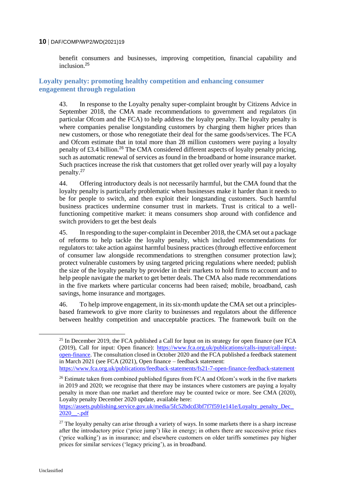benefit consumers and businesses, improving competition, financial capability and inclusion<sup>25</sup>

# **Loyalty penalty: promoting healthy competition and enhancing consumer engagement through regulation**

43. In response to the Loyalty penalty super-complaint brought by Citizens Advice in September 2018, the CMA made recommendations to government and regulators (in particular Ofcom and the FCA) to help address the loyalty penalty. The loyalty penalty is where companies penalise longstanding customers by charging them higher prices than new customers, or those who renegotiate their deal for the same goods/services. The FCA and Ofcom estimate that in total more than 28 million customers were paying a loyalty penalty of £3.4 billion.<sup>26</sup> The CMA considered different aspects of loyalty penalty pricing, such as automatic renewal of services as found in the broadband or home insurance market. Such practices increase the risk that customers that get rolled over yearly will pay a loyalty penalty.<sup>27</sup>

44. Offering introductory deals is not necessarily harmful, but the CMA found that the loyalty penalty is particularly problematic when businesses make it harder than it needs to be for people to switch, and then exploit their longstanding customers. Such harmful business practices undermine consumer trust in markets. Trust is critical to a wellfunctioning competitive market: it means consumers shop around with confidence and switch providers to get the best deals

45. In responding to the super-complaint in December 2018, the CMA set out a package of reforms to help tackle the loyalty penalty, which included recommendations for regulators to: take action against harmful business practices (through effective enforcement of consumer law alongside recommendations to strengthen consumer protection law); protect vulnerable customers by using targeted pricing regulations where needed; publish the size of the loyalty penalty by provider in their markets to hold firms to account and to help people navigate the market to get better deals. The CMA also made recommendations in the five markets where particular concerns had been raised; mobile, broadband, cash savings, home insurance and mortgages.

46. To help improve engagement, in its six-month update the CMA set out a principlesbased framework to give more clarity to businesses and regulators about the difference between healthy competition and unacceptable practices. The framework built on the

 $\overline{a}$ 

<sup>&</sup>lt;sup>25</sup> In December 2019, the FCA published a Call for Input on its strategy for open finance (see FCA (2019), Call for input: Open finance): [https://www.fca.org.uk/publications/calls-input/call-input](https://www.fca.org.uk/publications/calls-input/call-input-open-finance)[open-finance.](https://www.fca.org.uk/publications/calls-input/call-input-open-finance) The consultation closed in October 2020 and the FCA published a feedback statement in March 2021 (see FCA (2021), Open finance – feedback statement:

<https://www.fca.org.uk/publications/feedback-statements/fs21-7-open-finance-feedback-statement>

<sup>&</sup>lt;sup>26</sup> Estimate taken from combined published figures from FCA and Ofcom's work in the five markets in 2019 and 2020; we recognise that there may be instances where customers are paying a loyalty penalty in more than one market and therefore may be counted twice or more. See CMA (2020), Loyalty penalty December 2020 update, available here:

https://assets.publishing.service.gov.uk/media/5fc52bdcd3bf7f7f591e141e/Loyalty\_penalty\_Dec  $2020$  -.pdf

 $27$  The loyalty penalty can arise through a variety of ways. In some markets there is a sharp increase after the introductory price ('price jump') like in energy; in others there are successive price rises ('price walking') as in insurance; and elsewhere customers on older tariffs sometimes pay higher prices for similar services ('legacy pricing'), as in broadband.